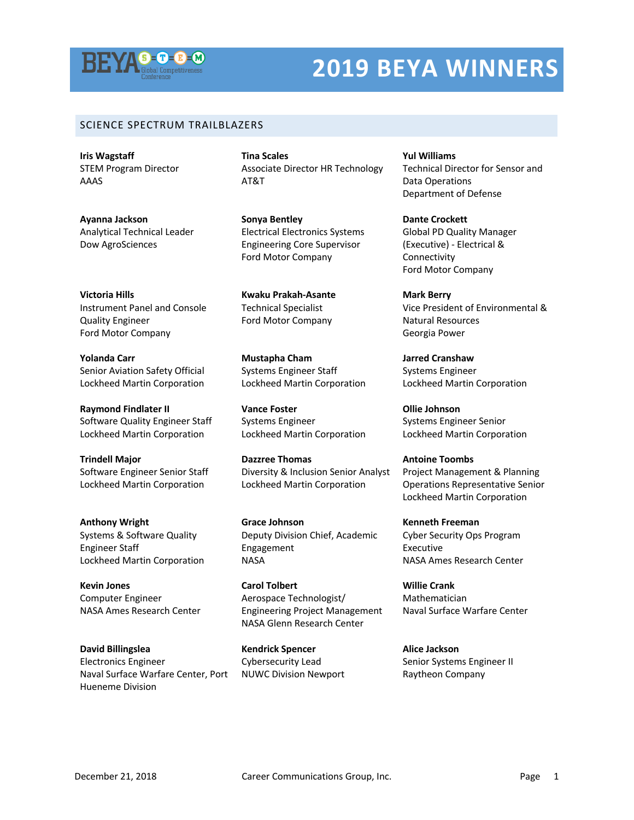

## **2019 BEYA WINNERS**

## SCIENCE SPECTRUM TRAILBLAZERS

**Iris Wagstaff** STEM Program Director AAAS

**Ayanna Jackson** Analytical Technical Leader Dow AgroSciences

**Victoria Hills** Instrument Panel and Console Quality Engineer Ford Motor Company

**Yolanda Carr** Senior Aviation Safety Official Lockheed Martin Corporation

**Raymond Findlater II** Software Quality Engineer Staff Lockheed Martin Corporation

**Trindell Major** Software Engineer Senior Staff Lockheed Martin Corporation

**Anthony Wright** Systems & Software Quality Engineer Staff Lockheed Martin Corporation

**Kevin Jones** Computer Engineer NASA Ames Research Center

**David Billingslea** Electronics Engineer Naval Surface Warfare Center, Port Hueneme Division

**Tina Scales** Associate Director HR Technology AT&T

**Sonya Bentley** Electrical Electronics Systems Engineering Core Supervisor Ford Motor Company

**Kwaku Prakah-Asante** Technical Specialist Ford Motor Company

**Mustapha Cham** Systems Engineer Staff Lockheed Martin Corporation

**Vance Foster** Systems Engineer Lockheed Martin Corporation

**Dazzree Thomas** Diversity & Inclusion Senior Analyst Lockheed Martin Corporation

**Grace Johnson** Deputy Division Chief, Academic Engagement **NASA** 

**Carol Tolbert** Aerospace Technologist/ Engineering Project Management NASA Glenn Research Center

**Kendrick Spencer** Cybersecurity Lead NUWC Division Newport **Yul Williams** Technical Director for Sensor and Data Operations Department of Defense

**Dante Crockett** Global PD Quality Manager (Executive) - Electrical & Connectivity Ford Motor Company

**Mark Berry** Vice President of Environmental & Natural Resources Georgia Power

**Jarred Cranshaw** Systems Engineer Lockheed Martin Corporation

**Ollie Johnson** Systems Engineer Senior Lockheed Martin Corporation

**Antoine Toombs** Project Management & Planning Operations Representative Senior Lockheed Martin Corporation

**Kenneth Freeman** Cyber Security Ops Program Executive NASA Ames Research Center

**Willie Crank** Mathematician Naval Surface Warfare Center

**Alice Jackson** Senior Systems Engineer II Raytheon Company